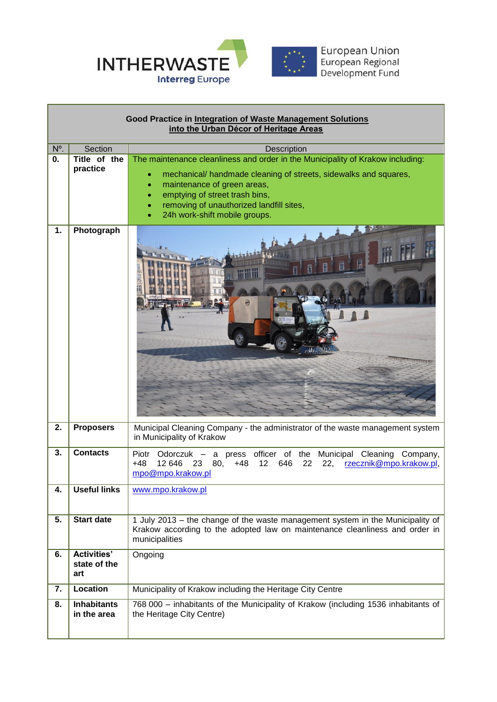

Г

| Good Practice in Integration of Waste Management Solutions<br>into the Urban Décor of Heritage Areas |                                           |                                                                                                                                                                                                                                                                                                                      |  |
|------------------------------------------------------------------------------------------------------|-------------------------------------------|----------------------------------------------------------------------------------------------------------------------------------------------------------------------------------------------------------------------------------------------------------------------------------------------------------------------|--|
| N°.                                                                                                  | Section                                   | Description                                                                                                                                                                                                                                                                                                          |  |
| 0.                                                                                                   | Title of the<br>practice                  | The maintenance cleanliness and order in the Municipality of Krakow including:<br>mechanical/ handmade cleaning of streets, sidewalks and squares,<br>٠<br>maintenance of green areas,<br>٠<br>emptying of street trash bins,<br>۰<br>removing of unauthorized landfill sites,<br>۰<br>24h work-shift mobile groups. |  |
| 1.                                                                                                   | Photograph                                |                                                                                                                                                                                                                                                                                                                      |  |
| 2.                                                                                                   | <b>Proposers</b>                          | Municipal Cleaning Company - the administrator of the waste management system<br>in Municipality of Krakow                                                                                                                                                                                                           |  |
| 3.                                                                                                   | <b>Contacts</b>                           | Odorczuk – a press officer of the Municipal Cleaning Company,<br>Piotr<br>$+48$<br>12 646<br>80,<br>22<br>22,<br>23<br>$+48$<br>12<br>646<br>rzecznik@mpo.krakow.pl,<br>mpo@mpo.krakow.pl                                                                                                                            |  |
| 4.                                                                                                   | Useful links                              | www.mpo.krakow.pl                                                                                                                                                                                                                                                                                                    |  |
| 5.                                                                                                   | <b>Start date</b>                         | 1 July 2013 – the change of the waste management system in the Municipality of<br>Krakow according to the adopted law on maintenance cleanliness and order in<br>municipalities                                                                                                                                      |  |
| 6.                                                                                                   | <b>Activities'</b><br>state of the<br>art | Ongoing                                                                                                                                                                                                                                                                                                              |  |
| 7.                                                                                                   | Location                                  | Municipality of Krakow including the Heritage City Centre                                                                                                                                                                                                                                                            |  |
| 8.                                                                                                   | <b>Inhabitants</b><br>in the area         | 768 000 - inhabitants of the Municipality of Krakow (including 1536 inhabitants of<br>the Heritage City Centre)                                                                                                                                                                                                      |  |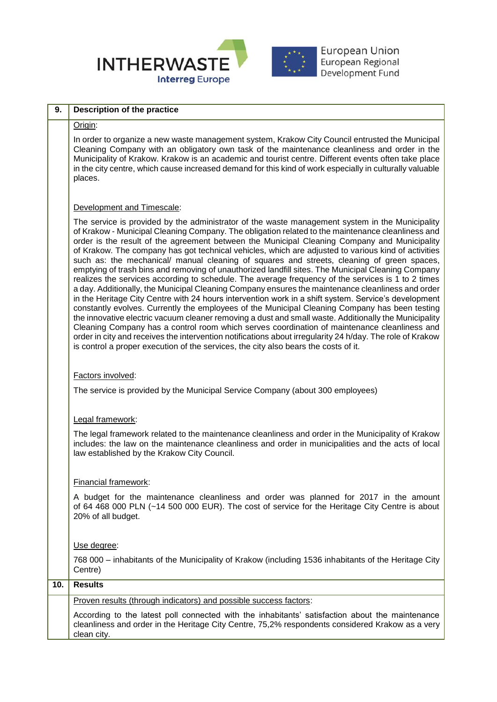

European Union<br>European Regional<br>Development Fund

| 9.  | <b>Description of the practice</b>                                                                                                                                                                                                                                                                                                                                                                                                                                                                                                                                                                                                                                                                                                                                                                                                                                                                                                                                                                                                                                                                                                                                                                                                                                                                                                                                                                                                                |  |  |  |
|-----|---------------------------------------------------------------------------------------------------------------------------------------------------------------------------------------------------------------------------------------------------------------------------------------------------------------------------------------------------------------------------------------------------------------------------------------------------------------------------------------------------------------------------------------------------------------------------------------------------------------------------------------------------------------------------------------------------------------------------------------------------------------------------------------------------------------------------------------------------------------------------------------------------------------------------------------------------------------------------------------------------------------------------------------------------------------------------------------------------------------------------------------------------------------------------------------------------------------------------------------------------------------------------------------------------------------------------------------------------------------------------------------------------------------------------------------------------|--|--|--|
|     | Origin:                                                                                                                                                                                                                                                                                                                                                                                                                                                                                                                                                                                                                                                                                                                                                                                                                                                                                                                                                                                                                                                                                                                                                                                                                                                                                                                                                                                                                                           |  |  |  |
|     | In order to organize a new waste management system, Krakow City Council entrusted the Municipal<br>Cleaning Company with an obligatory own task of the maintenance cleanliness and order in the<br>Municipality of Krakow. Krakow is an academic and tourist centre. Different events often take place<br>in the city centre, which cause increased demand for this kind of work especially in culturally valuable<br>places.                                                                                                                                                                                                                                                                                                                                                                                                                                                                                                                                                                                                                                                                                                                                                                                                                                                                                                                                                                                                                     |  |  |  |
|     | Development and Timescale:                                                                                                                                                                                                                                                                                                                                                                                                                                                                                                                                                                                                                                                                                                                                                                                                                                                                                                                                                                                                                                                                                                                                                                                                                                                                                                                                                                                                                        |  |  |  |
|     | The service is provided by the administrator of the waste management system in the Municipality<br>of Krakow - Municipal Cleaning Company. The obligation related to the maintenance cleanliness and<br>order is the result of the agreement between the Municipal Cleaning Company and Municipality<br>of Krakow. The company has got technical vehicles, which are adjusted to various kind of activities<br>such as: the mechanical/ manual cleaning of squares and streets, cleaning of green spaces,<br>emptying of trash bins and removing of unauthorized landfill sites. The Municipal Cleaning Company<br>realizes the services according to schedule. The average frequency of the services is 1 to 2 times<br>a day. Additionally, the Municipal Cleaning Company ensures the maintenance cleanliness and order<br>in the Heritage City Centre with 24 hours intervention work in a shift system. Service's development<br>constantly evolves. Currently the employees of the Municipal Cleaning Company has been testing<br>the innovative electric vacuum cleaner removing a dust and small waste. Additionally the Municipality<br>Cleaning Company has a control room which serves coordination of maintenance cleanliness and<br>order in city and receives the intervention notifications about irregularity 24 h/day. The role of Krakow<br>is control a proper execution of the services, the city also bears the costs of it. |  |  |  |
|     | Factors involved:                                                                                                                                                                                                                                                                                                                                                                                                                                                                                                                                                                                                                                                                                                                                                                                                                                                                                                                                                                                                                                                                                                                                                                                                                                                                                                                                                                                                                                 |  |  |  |
|     | The service is provided by the Municipal Service Company (about 300 employees)                                                                                                                                                                                                                                                                                                                                                                                                                                                                                                                                                                                                                                                                                                                                                                                                                                                                                                                                                                                                                                                                                                                                                                                                                                                                                                                                                                    |  |  |  |
|     | Legal framework:                                                                                                                                                                                                                                                                                                                                                                                                                                                                                                                                                                                                                                                                                                                                                                                                                                                                                                                                                                                                                                                                                                                                                                                                                                                                                                                                                                                                                                  |  |  |  |
|     | The legal framework related to the maintenance cleanliness and order in the Municipality of Krakow<br>includes: the law on the maintenance cleanliness and order in municipalities and the acts of local<br>law established by the Krakow City Council.                                                                                                                                                                                                                                                                                                                                                                                                                                                                                                                                                                                                                                                                                                                                                                                                                                                                                                                                                                                                                                                                                                                                                                                           |  |  |  |
|     | Financial framework:                                                                                                                                                                                                                                                                                                                                                                                                                                                                                                                                                                                                                                                                                                                                                                                                                                                                                                                                                                                                                                                                                                                                                                                                                                                                                                                                                                                                                              |  |  |  |
|     | A budget for the maintenance cleanliness and order was planned for 2017 in the amount<br>of 64 468 000 PLN (~14 500 000 EUR). The cost of service for the Heritage City Centre is about<br>20% of all budget.                                                                                                                                                                                                                                                                                                                                                                                                                                                                                                                                                                                                                                                                                                                                                                                                                                                                                                                                                                                                                                                                                                                                                                                                                                     |  |  |  |
|     | Use degree:                                                                                                                                                                                                                                                                                                                                                                                                                                                                                                                                                                                                                                                                                                                                                                                                                                                                                                                                                                                                                                                                                                                                                                                                                                                                                                                                                                                                                                       |  |  |  |
|     | 768 000 - inhabitants of the Municipality of Krakow (including 1536 inhabitants of the Heritage City<br>Centre)                                                                                                                                                                                                                                                                                                                                                                                                                                                                                                                                                                                                                                                                                                                                                                                                                                                                                                                                                                                                                                                                                                                                                                                                                                                                                                                                   |  |  |  |
| 10. | <b>Results</b>                                                                                                                                                                                                                                                                                                                                                                                                                                                                                                                                                                                                                                                                                                                                                                                                                                                                                                                                                                                                                                                                                                                                                                                                                                                                                                                                                                                                                                    |  |  |  |
|     | Proven results (through indicators) and possible success factors:                                                                                                                                                                                                                                                                                                                                                                                                                                                                                                                                                                                                                                                                                                                                                                                                                                                                                                                                                                                                                                                                                                                                                                                                                                                                                                                                                                                 |  |  |  |
|     | According to the latest poll connected with the inhabitants' satisfaction about the maintenance<br>cleanliness and order in the Heritage City Centre, 75,2% respondents considered Krakow as a very<br>clean city.                                                                                                                                                                                                                                                                                                                                                                                                                                                                                                                                                                                                                                                                                                                                                                                                                                                                                                                                                                                                                                                                                                                                                                                                                                |  |  |  |